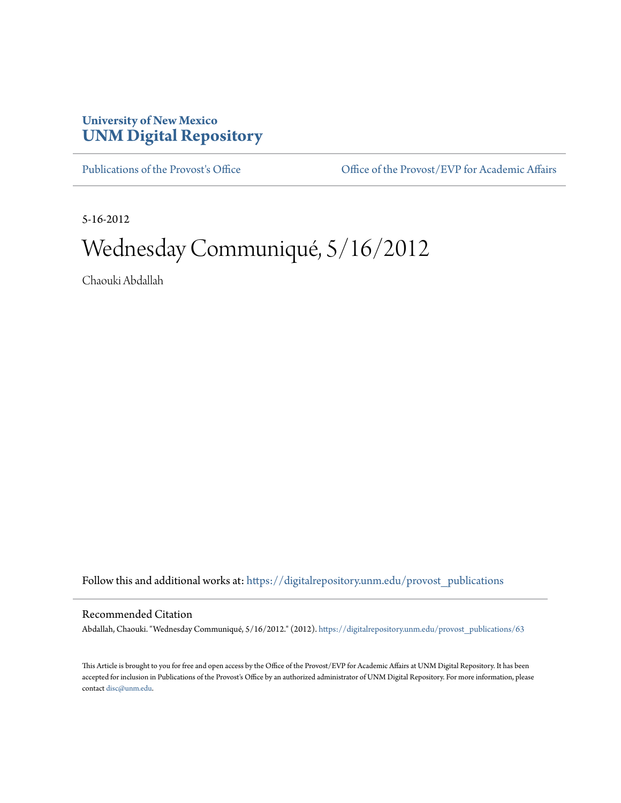## **University of New Mexico [UNM Digital Repository](https://digitalrepository.unm.edu?utm_source=digitalrepository.unm.edu%2Fprovost_publications%2F63&utm_medium=PDF&utm_campaign=PDFCoverPages)**

[Publications of the Provost's Office](https://digitalrepository.unm.edu/provost_publications?utm_source=digitalrepository.unm.edu%2Fprovost_publications%2F63&utm_medium=PDF&utm_campaign=PDFCoverPages) Office [Office of the Provost/EVP for Academic Affairs](https://digitalrepository.unm.edu/ofc_provost?utm_source=digitalrepository.unm.edu%2Fprovost_publications%2F63&utm_medium=PDF&utm_campaign=PDFCoverPages)

5-16-2012

# Wednesday Communiqué, 5/16/2012

Chaouki Abdallah

Follow this and additional works at: [https://digitalrepository.unm.edu/provost\\_publications](https://digitalrepository.unm.edu/provost_publications?utm_source=digitalrepository.unm.edu%2Fprovost_publications%2F63&utm_medium=PDF&utm_campaign=PDFCoverPages)

#### Recommended Citation

Abdallah, Chaouki. "Wednesday Communiqué, 5/16/2012." (2012). [https://digitalrepository.unm.edu/provost\\_publications/63](https://digitalrepository.unm.edu/provost_publications/63?utm_source=digitalrepository.unm.edu%2Fprovost_publications%2F63&utm_medium=PDF&utm_campaign=PDFCoverPages)

This Article is brought to you for free and open access by the Office of the Provost/EVP for Academic Affairs at UNM Digital Repository. It has been accepted for inclusion in Publications of the Provost's Office by an authorized administrator of UNM Digital Repository. For more information, please contact [disc@unm.edu.](mailto:disc@unm.edu)